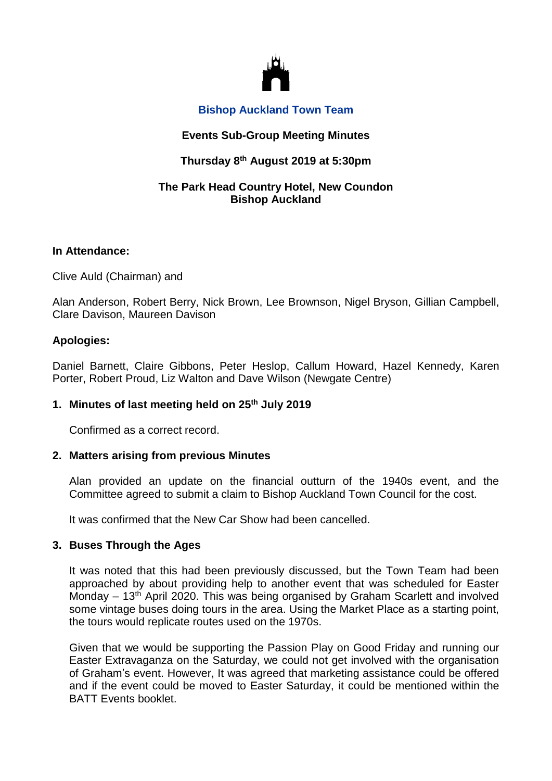

## **Bishop Auckland Town Team**

## **Events Sub-Group Meeting Minutes**

# **Thursday 8 th August 2019 at 5:30pm**

## **The Park Head Country Hotel, New Coundon Bishop Auckland**

### **In Attendance:**

Clive Auld (Chairman) and

Alan Anderson, Robert Berry, Nick Brown, Lee Brownson, Nigel Bryson, Gillian Campbell, Clare Davison, Maureen Davison

## **Apologies:**

Daniel Barnett, Claire Gibbons, Peter Heslop, Callum Howard, Hazel Kennedy, Karen Porter, Robert Proud, Liz Walton and Dave Wilson (Newgate Centre)

## **1. Minutes of last meeting held on 25th July 2019**

Confirmed as a correct record.

## **2. Matters arising from previous Minutes**

Alan provided an update on the financial outturn of the 1940s event, and the Committee agreed to submit a claim to Bishop Auckland Town Council for the cost.

It was confirmed that the New Car Show had been cancelled.

#### **3. Buses Through the Ages**

It was noted that this had been previously discussed, but the Town Team had been approached by about providing help to another event that was scheduled for Easter Monday – 13<sup>th</sup> April 2020. This was being organised by Graham Scarlett and involved some vintage buses doing tours in the area. Using the Market Place as a starting point, the tours would replicate routes used on the 1970s.

Given that we would be supporting the Passion Play on Good Friday and running our Easter Extravaganza on the Saturday, we could not get involved with the organisation of Graham's event. However, It was agreed that marketing assistance could be offered and if the event could be moved to Easter Saturday, it could be mentioned within the BATT Events booklet.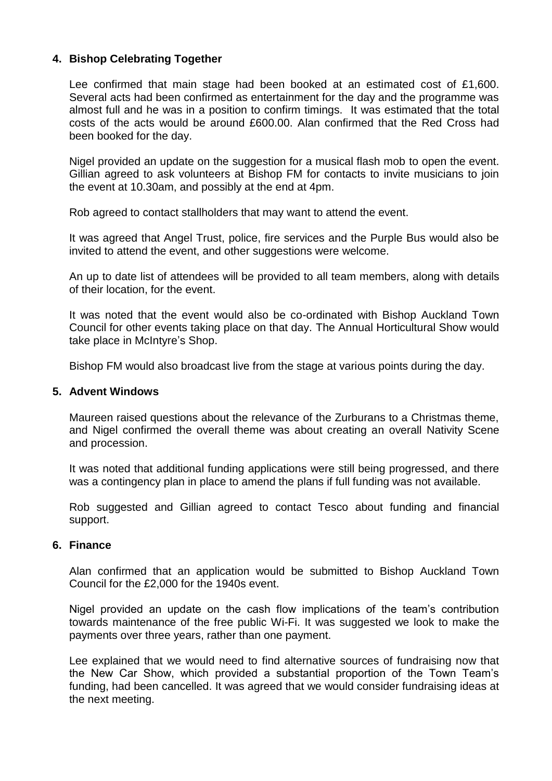## **4. Bishop Celebrating Together**

Lee confirmed that main stage had been booked at an estimated cost of £1,600. Several acts had been confirmed as entertainment for the day and the programme was almost full and he was in a position to confirm timings. It was estimated that the total costs of the acts would be around £600.00. Alan confirmed that the Red Cross had been booked for the day.

Nigel provided an update on the suggestion for a musical flash mob to open the event. Gillian agreed to ask volunteers at Bishop FM for contacts to invite musicians to join the event at 10.30am, and possibly at the end at 4pm.

Rob agreed to contact stallholders that may want to attend the event.

It was agreed that Angel Trust, police, fire services and the Purple Bus would also be invited to attend the event, and other suggestions were welcome.

An up to date list of attendees will be provided to all team members, along with details of their location, for the event.

It was noted that the event would also be co-ordinated with Bishop Auckland Town Council for other events taking place on that day. The Annual Horticultural Show would take place in McIntyre's Shop.

Bishop FM would also broadcast live from the stage at various points during the day.

### **5. Advent Windows**

Maureen raised questions about the relevance of the Zurburans to a Christmas theme, and Nigel confirmed the overall theme was about creating an overall Nativity Scene and procession.

It was noted that additional funding applications were still being progressed, and there was a contingency plan in place to amend the plans if full funding was not available.

Rob suggested and Gillian agreed to contact Tesco about funding and financial support.

#### **6. Finance**

Alan confirmed that an application would be submitted to Bishop Auckland Town Council for the £2,000 for the 1940s event.

Nigel provided an update on the cash flow implications of the team's contribution towards maintenance of the free public Wi-Fi. It was suggested we look to make the payments over three years, rather than one payment.

Lee explained that we would need to find alternative sources of fundraising now that the New Car Show, which provided a substantial proportion of the Town Team's funding, had been cancelled. It was agreed that we would consider fundraising ideas at the next meeting.